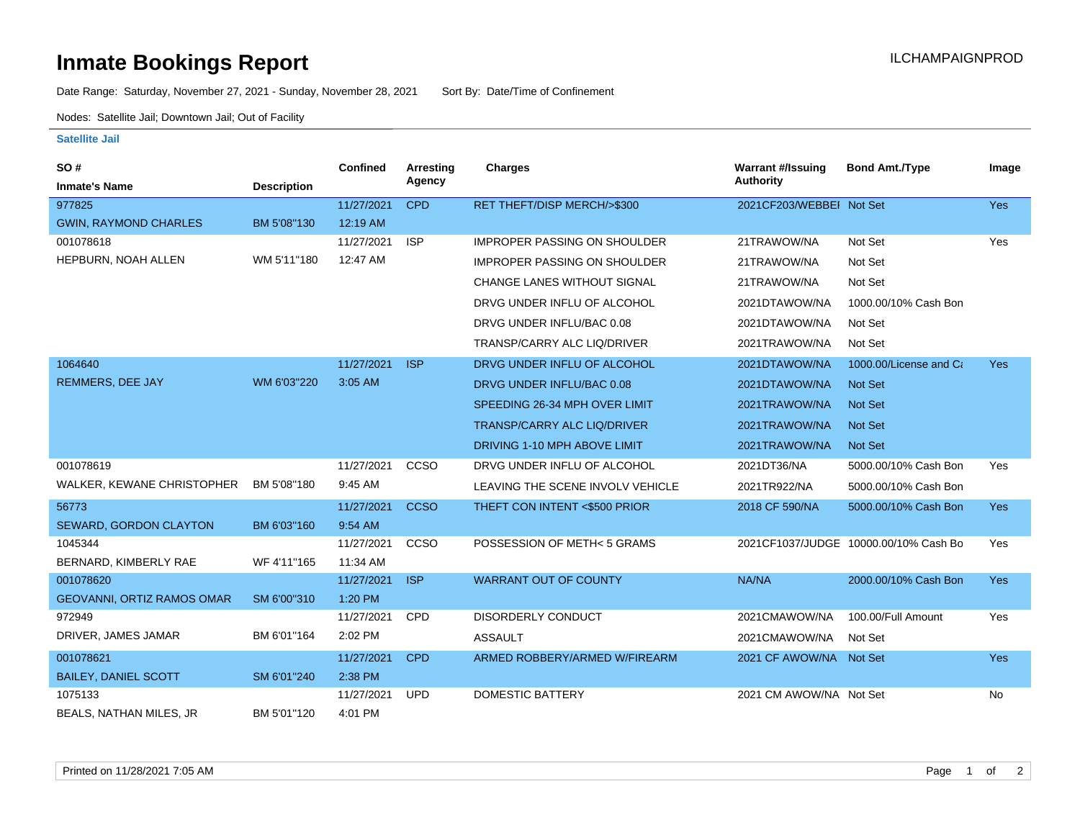## **Inmate Bookings Report International Contract Contract Contract Contract Contract Contract Contract Contract Contract Contract Contract Contract Contract Contract Contract Contract Contract Contract Contract Contract Co**

Date Range: Saturday, November 27, 2021 - Sunday, November 28, 2021 Sort By: Date/Time of Confinement

Nodes: Satellite Jail; Downtown Jail; Out of Facility

## **Satellite Jail**

| SO#                          |                    | Confined   | Arresting   | Charges                             | <b>Warrant #/Issuing</b> | <b>Bond Amt./Type</b>                 | Image      |
|------------------------------|--------------------|------------|-------------|-------------------------------------|--------------------------|---------------------------------------|------------|
| <b>Inmate's Name</b>         | <b>Description</b> |            | Agency      |                                     | <b>Authority</b>         |                                       |            |
| 977825                       |                    | 11/27/2021 | <b>CPD</b>  | RET THEFT/DISP MERCH/>\$300         | 2021CF203/WEBBEI Not Set |                                       | Yes        |
| <b>GWIN, RAYMOND CHARLES</b> | BM 5'08"130        | 12:19 AM   |             |                                     |                          |                                       |            |
| 001078618                    |                    | 11/27/2021 | <b>ISP</b>  | <b>IMPROPER PASSING ON SHOULDER</b> | 21TRAWOW/NA              | Not Set                               | Yes        |
| HEPBURN, NOAH ALLEN          | WM 5'11"180        | 12:47 AM   |             | <b>IMPROPER PASSING ON SHOULDER</b> | 21TRAWOW/NA              | Not Set                               |            |
|                              |                    |            |             | <b>CHANGE LANES WITHOUT SIGNAL</b>  | 21TRAWOW/NA              | Not Set                               |            |
|                              |                    |            |             | DRVG UNDER INFLU OF ALCOHOL         | 2021DTAWOW/NA            | 1000.00/10% Cash Bon                  |            |
|                              |                    |            |             | DRVG UNDER INFLU/BAC 0.08           | 2021DTAWOW/NA            | Not Set                               |            |
|                              |                    |            |             | TRANSP/CARRY ALC LIQ/DRIVER         | 2021TRAWOW/NA            | Not Set                               |            |
| 1064640                      |                    | 11/27/2021 | <b>ISP</b>  | DRVG UNDER INFLU OF ALCOHOL         | 2021DTAWOW/NA            | 1000.00/License and Ca                | Yes        |
| REMMERS, DEE JAY             | WM 6'03"220        | 3:05 AM    |             | DRVG UNDER INFLU/BAC 0.08           | 2021DTAWOW/NA            | <b>Not Set</b>                        |            |
|                              |                    |            |             | SPEEDING 26-34 MPH OVER LIMIT       | 2021TRAWOW/NA            | <b>Not Set</b>                        |            |
|                              |                    |            |             | <b>TRANSP/CARRY ALC LIQ/DRIVER</b>  | 2021TRAWOW/NA            | <b>Not Set</b>                        |            |
|                              |                    |            |             | DRIVING 1-10 MPH ABOVE LIMIT        | 2021TRAWOW/NA            | <b>Not Set</b>                        |            |
| 001078619                    |                    | 11/27/2021 | CCSO        | DRVG UNDER INFLU OF ALCOHOL         | 2021DT36/NA              | 5000.00/10% Cash Bon                  | Yes        |
| WALKER, KEWANE CHRISTOPHER   | BM 5'08"180        | 9:45 AM    |             | LEAVING THE SCENE INVOLV VEHICLE    | 2021TR922/NA             | 5000.00/10% Cash Bon                  |            |
| 56773                        |                    | 11/27/2021 | <b>CCSO</b> | THEFT CON INTENT <\$500 PRIOR       | 2018 CF 590/NA           | 5000.00/10% Cash Bon                  | <b>Yes</b> |
| SEWARD, GORDON CLAYTON       | BM 6'03"160        | 9:54 AM    |             |                                     |                          |                                       |            |
| 1045344                      |                    | 11/27/2021 | CCSO        | POSSESSION OF METH< 5 GRAMS         |                          | 2021CF1037/JUDGE 10000.00/10% Cash Bo | Yes        |
| BERNARD, KIMBERLY RAE        | WF 4'11"165        | 11:34 AM   |             |                                     |                          |                                       |            |
| 001078620                    |                    | 11/27/2021 | <b>ISP</b>  | <b>WARRANT OUT OF COUNTY</b>        | NA/NA                    | 2000.00/10% Cash Bon                  | <b>Yes</b> |
| GEOVANNI, ORTIZ RAMOS OMAR   | SM 6'00"310        | 1:20 PM    |             |                                     |                          |                                       |            |
| 972949                       |                    | 11/27/2021 | CPD         | <b>DISORDERLY CONDUCT</b>           | 2021CMAWOW/NA            | 100.00/Full Amount                    | Yes        |
| DRIVER, JAMES JAMAR          | BM 6'01"164        | 2:02 PM    |             | <b>ASSAULT</b>                      | 2021CMAWOW/NA            | Not Set                               |            |
| 001078621                    |                    | 11/27/2021 | <b>CPD</b>  | ARMED ROBBERY/ARMED W/FIREARM       | 2021 CF AWOW/NA Not Set  |                                       | <b>Yes</b> |
| <b>BAILEY, DANIEL SCOTT</b>  | SM 6'01"240        | 2:38 PM    |             |                                     |                          |                                       |            |
| 1075133                      |                    | 11/27/2021 | <b>UPD</b>  | <b>DOMESTIC BATTERY</b>             | 2021 CM AWOW/NA Not Set  |                                       | No         |
| BEALS, NATHAN MILES, JR      | BM 5'01"120        | 4:01 PM    |             |                                     |                          |                                       |            |